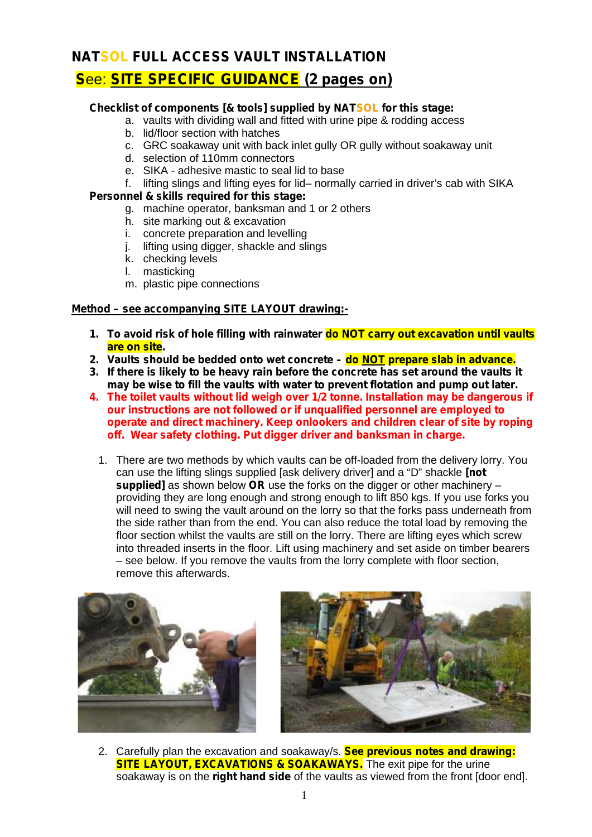## **NATSOL FULL ACCESS VAULT INSTALLATION**

# **S**ee: **SITE SPECIFIC GUIDANCE (2 pages on)**

### **Checklist of components [& tools] supplied by NATSOL for this stage:**

- a. vaults with dividing wall and fitted with urine pipe & rodding access
- b. lid/floor section with hatches
- c. GRC soakaway unit with back inlet gully OR gully without soakaway unit
- d. selection of 110mm connectors
- e. SIKA adhesive mastic to seal lid to base
- f. lifting slings and lifting eyes for lid– normally carried in driver's cab with SIKA

### **Personnel & skills required for this stage:**

- g. machine operator, banksman and 1 or 2 others
- h. site marking out & excavation
- i. concrete preparation and levelling<br>i. lifting using digger, shackle and sli
- lifting using digger, shackle and slings
- k. checking levels
- l. masticking
- m. plastic pipe connections

### **Method – see accompanying SITE LAYOUT drawing:-**

- **1. To avoid risk of hole filling with rainwater do NOT carry out excavation until vaults are on site.**
- **2. Vaults should be bedded onto wet concrete – do NOT prepare slab in advance.**
- **3. If there is likely to be heavy rain before the concrete has set around the vaults it may be wise to fill the vaults with water to prevent flotation and pump out later.**
- **4. The toilet vaults without lid weigh over 1/2 tonne. Installation may be dangerous if our instructions are not followed or if unqualified personnel are employed to operate and direct machinery. Keep onlookers and children clear of site by roping off. Wear safety clothing. Put digger driver and banksman in charge.**
	- 1. There are two methods by which vaults can be off-loaded from the delivery lorry. You can use the lifting slings supplied [ask delivery driver] and a "D" shackle **[not supplied]** as shown below **OR** use the forks on the digger or other machinery – providing they are long enough and strong enough to lift 850 kgs. If you use forks you will need to swing the vault around on the lorry so that the forks pass underneath from the side rather than from the end. You can also reduce the total load by removing the floor section whilst the vaults are still on the lorry. There are lifting eyes which screw into threaded inserts in the floor. Lift using machinery and set aside on timber bearers – see below. If you remove the vaults from the lorry complete with floor section, remove this afterwards.





2. Carefully plan the excavation and soakaway/s. **See previous notes and drawing: SITE LAYOUT, EXCAVATIONS & SOAKAWAYS.** The exit pipe for the urine soakaway is on the **right hand side** of the vaults as viewed from the front [door end].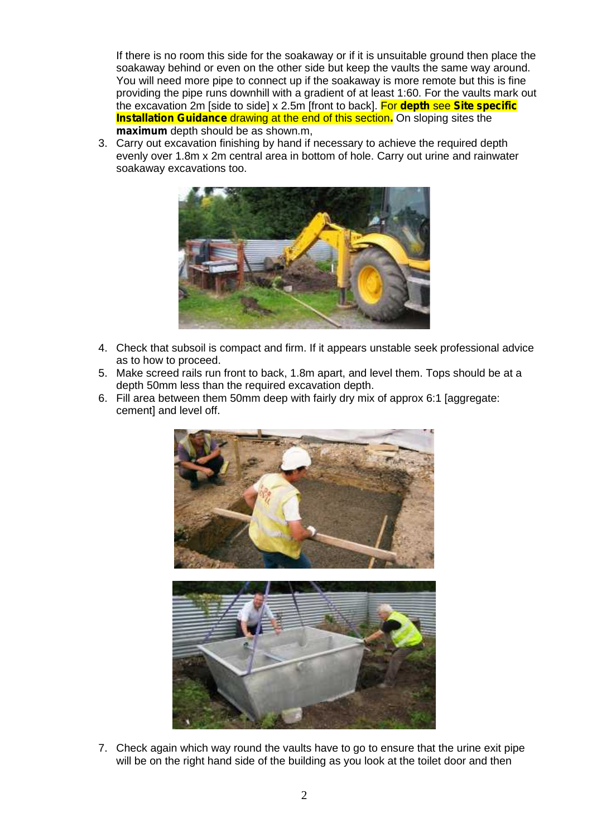If there is no room this side for the soakaway or if it is unsuitable ground then place the soakaway behind or even on the other side but keep the vaults the same way around. You will need more pipe to connect up if the soakaway is more remote but this is fine providing the pipe runs downhill with a gradient of at least 1:60. For the vaults mark out the excavation 2m [side to side] x 2.5m [front to back]. For **depth** see **Site specific Installation Guidance** drawing at the end of this section. On sloping sites the **maximum** depth should be as shown.m,

3. Carry out excavation finishing by hand if necessary to achieve the required depth evenly over 1.8m x 2m central area in bottom of hole. Carry out urine and rainwater soakaway excavations too.



- 4. Check that subsoil is compact and firm. If it appears unstable seek professional advice as to how to proceed.
- 5. Make screed rails run front to back, 1.8m apart, and level them. Tops should be at a depth 50mm less than the required excavation depth.
- 6. Fill area between them 50mm deep with fairly dry mix of approx 6:1 [aggregate: cement] and level off.



7. Check again which way round the vaults have to go to ensure that the urine exit pipe will be on the right hand side of the building as you look at the toilet door and then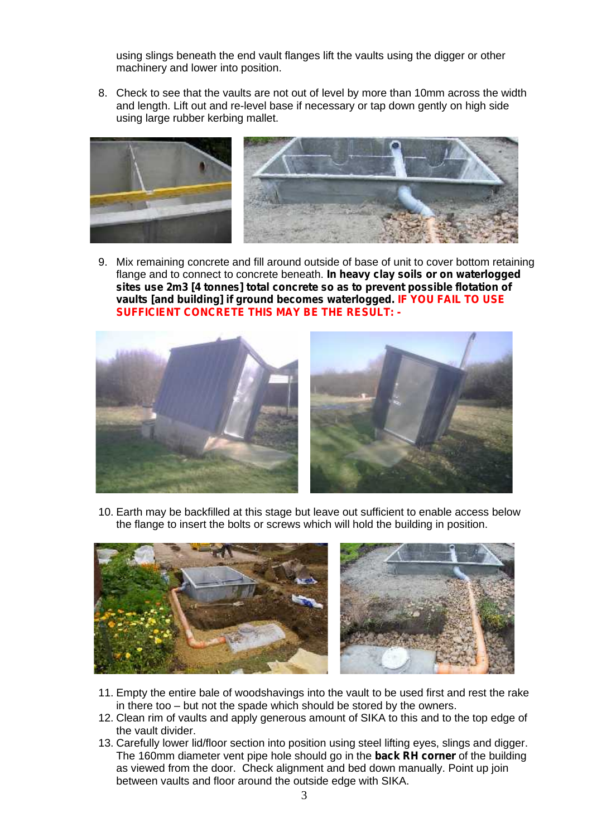using slings beneath the end vault flanges lift the vaults using the digger or other machinery and lower into position.

8. Check to see that the vaults are not out of level by more than 10mm across the width and length. Lift out and re-level base if necessary or tap down gently on high side using large rubber kerbing mallet.



9. Mix remaining concrete and fill around outside of base of unit to cover bottom retaining flange and to connect to concrete beneath. **In heavy clay soils or on waterlogged sites use 2m3 [4 tonnes] total concrete so as to prevent possible flotation of vaults [and building] if ground becomes waterlogged. IF YOU FAIL TO USE SUFFICIENT CONCRETE THIS MAY BE THE RESULT: -**



10. Earth may be backfilled at this stage but leave out sufficient to enable access below the flange to insert the bolts or screws which will hold the building in position.



- 11. Empty the entire bale of woodshavings into the vault to be used first and rest the rake in there too – but not the spade which should be stored by the owners.
- 12. Clean rim of vaults and apply generous amount of SIKA to this and to the top edge of the vault divider.
- 13. Carefully lower lid/floor section into position using steel lifting eyes, slings and digger. The 160mm diameter vent pipe hole should go in the **back RH corner** of the building as viewed from the door. Check alignment and bed down manually. Point up join between vaults and floor around the outside edge with SIKA.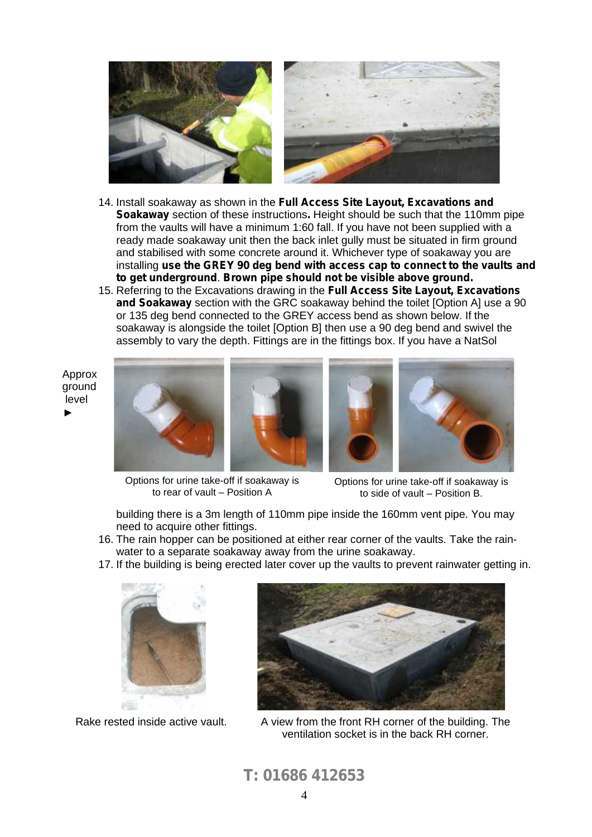

- 14. Install soakaway as shown in the **Full Access Site Layout, Excavations and Soakaway** section of these instructions**.** Height should be such that the 110mm pipe from the vaults will have a minimum 1:60 fall. If you have not been supplied with a ready made soakaway unit then the back inlet gully must be situated in firm ground and stabilised with some concrete around it. Whichever type of soakaway you are installing **use the GREY 90 deg bend with access cap to connect to the vaults and to get underground**. **Brown pipe should not be visible above ground.**
- 15. Referring to the Excavations drawing in the **Full Access Site Layout, Excavations and Soakaway** section with the GRC soakaway behind the toilet [Option A] use a 90 or 135 deg bend connected to the GREY access bend as shown below. If the soakaway is alongside the toilet [Option B] then use a 90 deg bend and swivel the assembly to vary the depth. Fittings are in the fittings box. If you have a NatSol











Options for urine take-off if soakaway is to rear of vault – Position A

Options for urine take-off if soakaway is to side of vault – Position B.

building there is a 3m length of 110mm pipe inside the 160mm vent pipe. You may need to acquire other fittings.

- 16. The rain hopper can be positioned at either rear corner of the vaults. Take the rain water to a separate soakaway away from the urine soakaway.
- 17. If the building is being erected later cover up the vaults to prevent rainwater getting in.



Rake rested inside active vault.



A view from the front RH corner of the building. The ventilation socket is in the back RH corner.